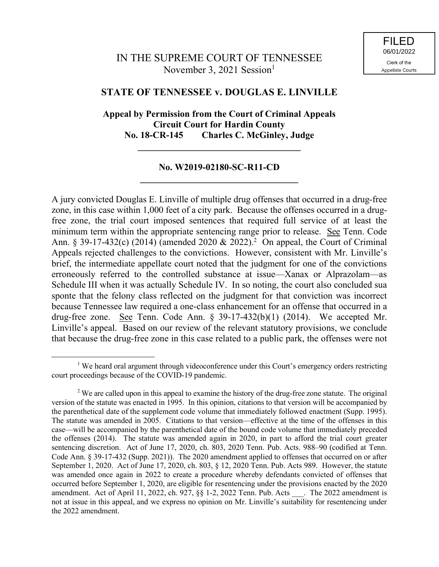# IN THE SUPREME COURT OF TENNESSEE November 3, 2021 Session $<sup>1</sup>$ </sup>

## **STATE OF TENNESSEE v. DOUGLAS E. LINVILLE**

## **Appeal by Permission from the Court of Criminal Appeals Circuit Court for Hardin County No. 18-CR-145 Charles C. McGinley, Judge \_\_\_\_\_\_\_\_\_\_\_\_\_\_\_\_\_\_\_\_\_\_\_\_\_\_\_\_\_\_\_\_\_\_\_**

### **No. W2019-02180-SC-R11-CD \_\_\_\_\_\_\_\_\_\_\_\_\_\_\_\_\_\_\_\_\_\_\_\_\_\_\_\_\_\_\_\_\_\_**

A jury convicted Douglas E. Linville of multiple drug offenses that occurred in a drug-free zone, in this case within 1,000 feet of a city park. Because the offenses occurred in a drugfree zone, the trial court imposed sentences that required full service of at least the minimum term within the appropriate sentencing range prior to release. See Tenn. Code Ann. § 39-17-432(c) (2014) (amended 2020 & 2022).<sup>2</sup> On appeal, the Court of Criminal Appeals rejected challenges to the convictions. However, consistent with Mr. Linville's brief, the intermediate appellate court noted that the judgment for one of the convictions erroneously referred to the controlled substance at issue—Xanax or Alprazolam—as Schedule III when it was actually Schedule IV. In so noting, the court also concluded sua sponte that the felony class reflected on the judgment for that conviction was incorrect because Tennessee law required a one-class enhancement for an offense that occurred in a drug-free zone. See Tenn. Code Ann. § 39-17-432(b)(1) (2014). We accepted Mr. Linville's appeal. Based on our review of the relevant statutory provisions, we conclude that because the drug-free zone in this case related to a public park, the offenses were not

<sup>&</sup>lt;sup>1</sup> We heard oral argument through videoconference under this Court's emergency orders restricting court proceedings because of the COVID-19 pandemic.

<sup>&</sup>lt;sup>2</sup> We are called upon in this appeal to examine the history of the drug-free zone statute. The original version of the statute was enacted in 1995. In this opinion, citations to that version will be accompanied by the parenthetical date of the supplement code volume that immediately followed enactment (Supp. 1995). The statute was amended in 2005. Citations to that version—effective at the time of the offenses in this case—will be accompanied by the parenthetical date of the bound code volume that immediately preceded the offenses (2014). The statute was amended again in 2020, in part to afford the trial court greater sentencing discretion. Act of June 17, 2020, ch. 803, 2020 Tenn. Pub. Acts. 988–90 (codified at Tenn. Code Ann. § 39-17-432 (Supp. 2021)). The 2020 amendment applied to offenses that occurred on or after September 1, 2020. Act of June 17, 2020, ch. 803, § 12, 2020 Tenn. Pub. Acts 989. However, the statute was amended once again in 2022 to create a procedure whereby defendants convicted of offenses that occurred before September 1, 2020, are eligible for resentencing under the provisions enacted by the 2020 amendment. Act of April 11, 2022, ch. 927, §§ 1-2, 2022 Tenn. Pub. Acts . The 2022 amendment is not at issue in this appeal, and we express no opinion on Mr. Linville's suitability for resentencing under the 2022 amendment.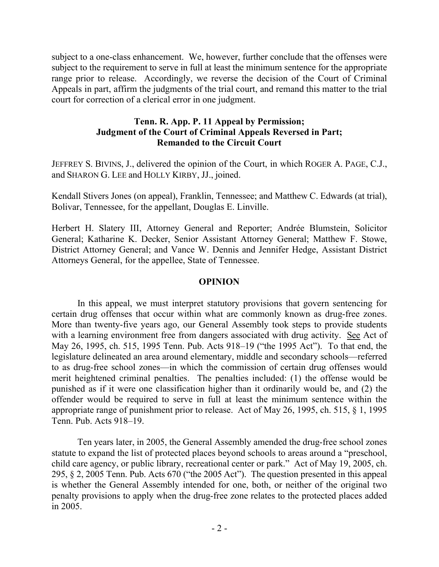subject to a one-class enhancement. We, however, further conclude that the offenses were subject to the requirement to serve in full at least the minimum sentence for the appropriate range prior to release. Accordingly, we reverse the decision of the Court of Criminal Appeals in part, affirm the judgments of the trial court, and remand this matter to the trial court for correction of a clerical error in one judgment.

### **Tenn. R. App. P. 11 Appeal by Permission; Judgment of the Court of Criminal Appeals Reversed in Part; Remanded to the Circuit Court**

JEFFREY S. BIVINS, J., delivered the opinion of the Court, in which ROGER A. PAGE, C.J., and SHARON G. LEE and HOLLY KIRBY, JJ., joined.

Kendall Stivers Jones (on appeal), Franklin, Tennessee; and Matthew C. Edwards (at trial), Bolivar, Tennessee, for the appellant, Douglas E. Linville.

Herbert H. Slatery III, Attorney General and Reporter; Andrée Blumstein, Solicitor General; Katharine K. Decker, Senior Assistant Attorney General; Matthew F. Stowe, District Attorney General; and Vance W. Dennis and Jennifer Hedge, Assistant District Attorneys General, for the appellee, State of Tennessee.

#### **OPINION**

In this appeal, we must interpret statutory provisions that govern sentencing for certain drug offenses that occur within what are commonly known as drug-free zones. More than twenty-five years ago, our General Assembly took steps to provide students with a learning environment free from dangers associated with drug activity. See Act of May 26, 1995, ch. 515, 1995 Tenn. Pub. Acts 918–19 ("the 1995 Act"). To that end, the legislature delineated an area around elementary, middle and secondary schools—referred to as drug-free school zones—in which the commission of certain drug offenses would merit heightened criminal penalties. The penalties included: (1) the offense would be punished as if it were one classification higher than it ordinarily would be, and (2) the offender would be required to serve in full at least the minimum sentence within the appropriate range of punishment prior to release. Act of May 26, 1995, ch. 515, § 1, 1995 Tenn. Pub. Acts 918–19.

Ten years later, in 2005, the General Assembly amended the drug-free school zones statute to expand the list of protected places beyond schools to areas around a "preschool, child care agency, or public library, recreational center or park." Act of May 19, 2005, ch. 295, § 2, 2005 Tenn. Pub. Acts 670 ("the 2005 Act"). The question presented in this appeal is whether the General Assembly intended for one, both, or neither of the original two penalty provisions to apply when the drug-free zone relates to the protected places added in 2005.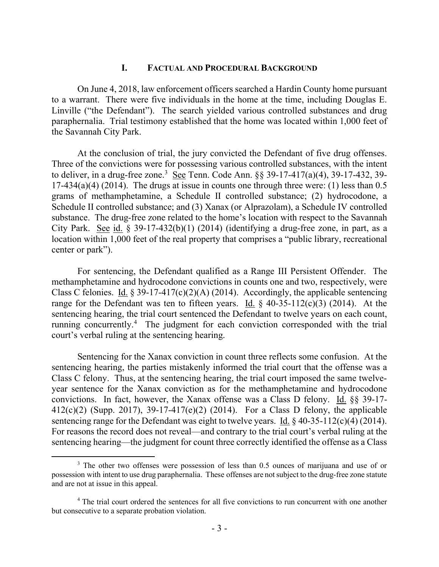### **I. FACTUAL AND PROCEDURAL BACKGROUND**

On June 4, 2018, law enforcement officers searched a Hardin County home pursuant to a warrant. There were five individuals in the home at the time, including Douglas E. Linville ("the Defendant"). The search yielded various controlled substances and drug paraphernalia. Trial testimony established that the home was located within 1,000 feet of the Savannah City Park.

At the conclusion of trial, the jury convicted the Defendant of five drug offenses. Three of the convictions were for possessing various controlled substances, with the intent to deliver, in a drug-free zone.<sup>3</sup> See Tenn. Code Ann.  $\S$ § 39-17-417(a)(4), 39-17-432, 39-17-434(a)(4) (2014). The drugs at issue in counts one through three were: (1) less than  $0.5$ grams of methamphetamine, a Schedule II controlled substance; (2) hydrocodone, a Schedule II controlled substance; and (3) Xanax (or Alprazolam), a Schedule IV controlled substance. The drug-free zone related to the home's location with respect to the Savannah City Park. See id.  $\S 39-17-432(b)(1)$  (2014) (identifying a drug-free zone, in part, as a location within 1,000 feet of the real property that comprises a "public library, recreational center or park").

For sentencing, the Defendant qualified as a Range III Persistent Offender. The methamphetamine and hydrocodone convictions in counts one and two, respectively, were Class C felonies. Id.  $\S 39-17-417(c)(2)(A)$  (2014). Accordingly, the applicable sentencing range for the Defendant was ten to fifteen years. Id.  $\frac{1}{2}$  40-35-112(c)(3) (2014). At the sentencing hearing, the trial court sentenced the Defendant to twelve years on each count, running concurrently.<sup>4</sup> The judgment for each conviction corresponded with the trial court's verbal ruling at the sentencing hearing.

Sentencing for the Xanax conviction in count three reflects some confusion. At the sentencing hearing, the parties mistakenly informed the trial court that the offense was a Class C felony. Thus, at the sentencing hearing, the trial court imposed the same twelveyear sentence for the Xanax conviction as for the methamphetamine and hydrocodone convictions. In fact, however, the Xanax offense was a Class D felony. Id. §§ 39-17- 412(c)(2) (Supp. 2017), 39-17-417(e)(2) (2014). For a Class D felony, the applicable sentencing range for the Defendant was eight to twelve years. Id. § 40-35-112(c)(4) (2014). For reasons the record does not reveal—and contrary to the trial court's verbal ruling at the sentencing hearing—the judgment for count three correctly identified the offense as a Class

<sup>&</sup>lt;sup>3</sup> The other two offenses were possession of less than 0.5 ounces of marijuana and use of or possession with intent to use drug paraphernalia. These offenses are not subject to the drug-free zone statute and are not at issue in this appeal.

<sup>&</sup>lt;sup>4</sup> The trial court ordered the sentences for all five convictions to run concurrent with one another but consecutive to a separate probation violation.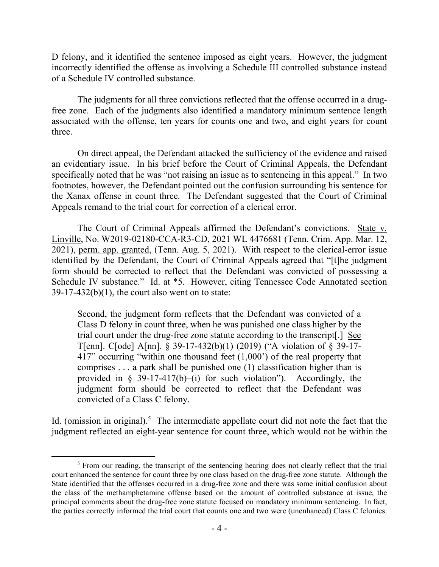D felony, and it identified the sentence imposed as eight years. However, the judgment incorrectly identified the offense as involving a Schedule III controlled substance instead of a Schedule IV controlled substance.

The judgments for all three convictions reflected that the offense occurred in a drugfree zone. Each of the judgments also identified a mandatory minimum sentence length associated with the offense, ten years for counts one and two, and eight years for count three.

On direct appeal, the Defendant attacked the sufficiency of the evidence and raised an evidentiary issue. In his brief before the Court of Criminal Appeals, the Defendant specifically noted that he was "not raising an issue as to sentencing in this appeal." In two footnotes, however, the Defendant pointed out the confusion surrounding his sentence for the Xanax offense in count three. The Defendant suggested that the Court of Criminal Appeals remand to the trial court for correction of a clerical error.

The Court of Criminal Appeals affirmed the Defendant's convictions. State v. Linville, No. W2019-02180-CCA-R3-CD, 2021 WL 4476681 (Tenn. Crim. App. Mar. 12, 2021), perm. app. granted, (Tenn. Aug. 5, 2021). With respect to the clerical-error issue identified by the Defendant, the Court of Criminal Appeals agreed that "[t]he judgment form should be corrected to reflect that the Defendant was convicted of possessing a Schedule IV substance." Id. at \*5. However, citing Tennessee Code Annotated section  $39-17-432(b)(1)$ , the court also went on to state:

Second, the judgment form reflects that the Defendant was convicted of a Class D felony in count three, when he was punished one class higher by the trial court under the drug-free zone statute according to the transcript[.] See T[enn]. C[ode] A[nn]. § 39-17-432(b)(1) (2019) ("A violation of § 39-17- 417" occurring "within one thousand feet (1,000') of the real property that comprises . . . a park shall be punished one (1) classification higher than is provided in  $\S$  39-17-417(b)–(i) for such violation"). Accordingly, the judgment form should be corrected to reflect that the Defendant was convicted of a Class C felony.

Id. (omission in original).<sup>5</sup> The intermediate appellate court did not note the fact that the judgment reflected an eight-year sentence for count three, which would not be within the

<sup>&</sup>lt;sup>5</sup> From our reading, the transcript of the sentencing hearing does not clearly reflect that the trial court enhanced the sentence for count three by one class based on the drug-free zone statute. Although the State identified that the offenses occurred in a drug-free zone and there was some initial confusion about the class of the methamphetamine offense based on the amount of controlled substance at issue, the principal comments about the drug-free zone statute focused on mandatory minimum sentencing. In fact, the parties correctly informed the trial court that counts one and two were (unenhanced) Class C felonies.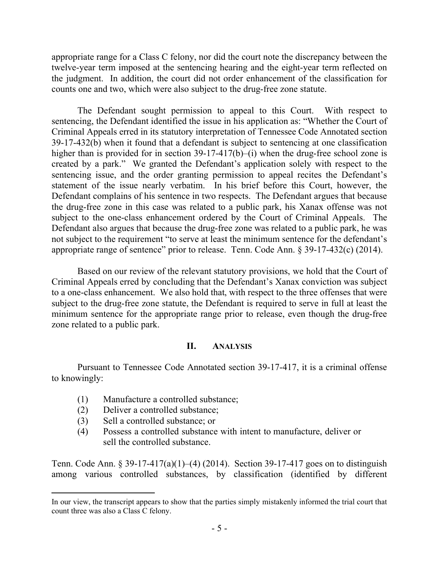appropriate range for a Class C felony, nor did the court note the discrepancy between the twelve-year term imposed at the sentencing hearing and the eight-year term reflected on the judgment. In addition, the court did not order enhancement of the classification for counts one and two, which were also subject to the drug-free zone statute.

The Defendant sought permission to appeal to this Court. With respect to sentencing, the Defendant identified the issue in his application as: "Whether the Court of Criminal Appeals erred in its statutory interpretation of Tennessee Code Annotated section 39-17-432(b) when it found that a defendant is subject to sentencing at one classification higher than is provided for in section 39-17-417(b)–(i) when the drug-free school zone is created by a park." We granted the Defendant's application solely with respect to the sentencing issue, and the order granting permission to appeal recites the Defendant's statement of the issue nearly verbatim. In his brief before this Court, however, the Defendant complains of his sentence in two respects. The Defendant argues that because the drug-free zone in this case was related to a public park, his Xanax offense was not subject to the one-class enhancement ordered by the Court of Criminal Appeals. The Defendant also argues that because the drug-free zone was related to a public park, he was not subject to the requirement "to serve at least the minimum sentence for the defendant's appropriate range of sentence" prior to release. Tenn. Code Ann. § 39-17-432(c) (2014).

Based on our review of the relevant statutory provisions, we hold that the Court of Criminal Appeals erred by concluding that the Defendant's Xanax conviction was subject to a one-class enhancement. We also hold that, with respect to the three offenses that were subject to the drug-free zone statute, the Defendant is required to serve in full at least the minimum sentence for the appropriate range prior to release, even though the drug-free zone related to a public park.

#### **II. ANALYSIS**

Pursuant to Tennessee Code Annotated section 39-17-417, it is a criminal offense to knowingly:

- (1) Manufacture a controlled substance;
- (2) Deliver a controlled substance;
- (3) Sell a controlled substance; or

 $\overline{a}$ 

(4) Possess a controlled substance with intent to manufacture, deliver or sell the controlled substance.

Tenn. Code Ann. § 39-17-417(a)(1)–(4) (2014). Section 39-17-417 goes on to distinguish among various controlled substances, by classification (identified by different

In our view, the transcript appears to show that the parties simply mistakenly informed the trial court that count three was also a Class C felony.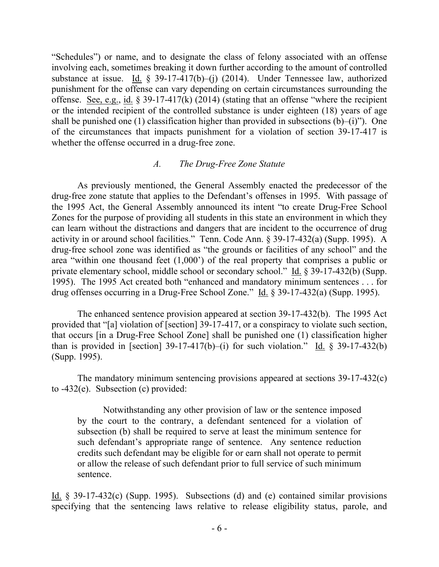"Schedules") or name, and to designate the class of felony associated with an offense involving each, sometimes breaking it down further according to the amount of controlled substance at issue. Id.  $\S$  39-17-417(b)–(j) (2014). Under Tennessee law, authorized punishment for the offense can vary depending on certain circumstances surrounding the offense. See, e.g., id.  $\S 39-17-417(k)$  (2014) (stating that an offense "where the recipient or the intended recipient of the controlled substance is under eighteen (18) years of age shall be punished one (1) classification higher than provided in subsections  $(b)$ –(i)"). One of the circumstances that impacts punishment for a violation of section 39-17-417 is whether the offense occurred in a drug-free zone.

#### *A. The Drug-Free Zone Statute*

As previously mentioned, the General Assembly enacted the predecessor of the drug-free zone statute that applies to the Defendant's offenses in 1995. With passage of the 1995 Act, the General Assembly announced its intent "to create Drug-Free School Zones for the purpose of providing all students in this state an environment in which they can learn without the distractions and dangers that are incident to the occurrence of drug activity in or around school facilities." Tenn. Code Ann. § 39-17-432(a) (Supp. 1995). A drug-free school zone was identified as "the grounds or facilities of any school" and the area "within one thousand feet (1,000') of the real property that comprises a public or private elementary school, middle school or secondary school." Id. § 39-17-432(b) (Supp. 1995). The 1995 Act created both "enhanced and mandatory minimum sentences . . . for drug offenses occurring in a Drug-Free School Zone." Id. § 39-17-432(a) (Supp. 1995).

The enhanced sentence provision appeared at section 39-17-432(b). The 1995 Act provided that "[a] violation of [section] 39-17-417, or a conspiracy to violate such section, that occurs [in a Drug-Free School Zone] shall be punished one (1) classification higher than is provided in [section]  $39-17-417(b)$ —(i) for such violation." Id. § 39-17-432(b) (Supp. 1995).

The mandatory minimum sentencing provisions appeared at sections 39-17-432(c) to -432(e). Subsection (c) provided:

Notwithstanding any other provision of law or the sentence imposed by the court to the contrary, a defendant sentenced for a violation of subsection (b) shall be required to serve at least the minimum sentence for such defendant's appropriate range of sentence. Any sentence reduction credits such defendant may be eligible for or earn shall not operate to permit or allow the release of such defendant prior to full service of such minimum sentence.

Id. § 39-17-432(c) (Supp. 1995). Subsections (d) and (e) contained similar provisions specifying that the sentencing laws relative to release eligibility status, parole, and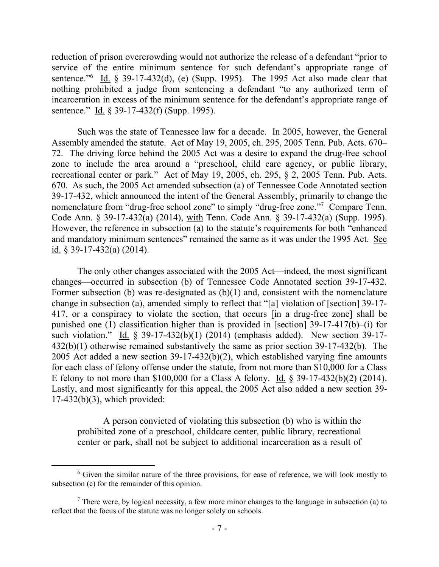reduction of prison overcrowding would not authorize the release of a defendant "prior to service of the entire minimum sentence for such defendant's appropriate range of sentence."<sup>6</sup> Id. § 39-17-432(d), (e) (Supp. 1995). The 1995 Act also made clear that nothing prohibited a judge from sentencing a defendant "to any authorized term of incarceration in excess of the minimum sentence for the defendant's appropriate range of sentence." Id. § 39-17-432(f) (Supp. 1995).

Such was the state of Tennessee law for a decade. In 2005, however, the General Assembly amended the statute. Act of May 19, 2005, ch. 295, 2005 Tenn. Pub. Acts. 670– 72. The driving force behind the 2005 Act was a desire to expand the drug-free school zone to include the area around a "preschool, child care agency, or public library, recreational center or park." Act of May 19, 2005, ch. 295, § 2, 2005 Tenn. Pub. Acts. 670. As such, the 2005 Act amended subsection (a) of Tennessee Code Annotated section 39-17-432, which announced the intent of the General Assembly, primarily to change the nomenclature from "drug-free school zone" to simply "drug-free zone."<sup>7</sup> Compare Tenn. Code Ann. § 39-17-432(a) (2014), with Tenn. Code Ann. § 39-17-432(a) (Supp. 1995). However, the reference in subsection (a) to the statute's requirements for both "enhanced and mandatory minimum sentences" remained the same as it was under the 1995 Act. See id. § 39-17-432(a) (2014).

The only other changes associated with the 2005 Act—indeed, the most significant changes—occurred in subsection (b) of Tennessee Code Annotated section 39-17-432. Former subsection (b) was re-designated as (b)(1) and, consistent with the nomenclature change in subsection (a), amended simply to reflect that "[a] violation of [section] 39-17- 417, or a conspiracy to violate the section, that occurs [in a drug-free zone] shall be punished one (1) classification higher than is provided in [section] 39-17-417(b)–(i) for such violation." Id. § 39-17-432(b)(1) (2014) (emphasis added). New section 39-17- 432(b)(1) otherwise remained substantively the same as prior section 39-17-432(b). The 2005 Act added a new section 39-17-432(b)(2), which established varying fine amounts for each class of felony offense under the statute, from not more than \$10,000 for a Class E felony to not more than \$100,000 for a Class A felony. Id. § 39-17-432(b)(2) (2014). Lastly, and most significantly for this appeal, the 2005 Act also added a new section 39- 17-432(b)(3), which provided:

A person convicted of violating this subsection (b) who is within the prohibited zone of a preschool, childcare center, public library, recreational center or park, shall not be subject to additional incarceration as a result of

 $6$  Given the similar nature of the three provisions, for ease of reference, we will look mostly to subsection (c) for the remainder of this opinion.

 $<sup>7</sup>$  There were, by logical necessity, a few more minor changes to the language in subsection (a) to</sup> reflect that the focus of the statute was no longer solely on schools.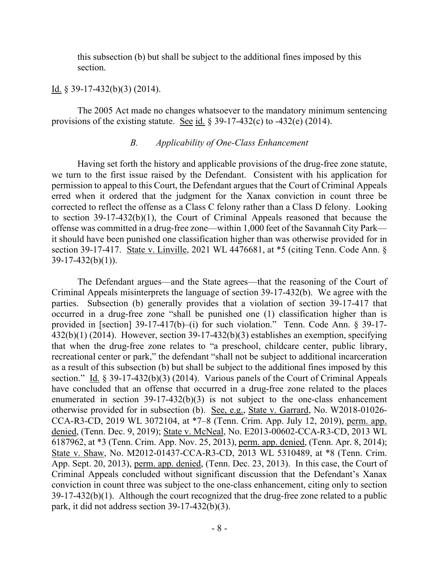this subsection (b) but shall be subject to the additional fines imposed by this section.

#### Id. § 39-17-432(b)(3) (2014).

The 2005 Act made no changes whatsoever to the mandatory minimum sentencing provisions of the existing statute. See id.  $\S 39-17-432(c)$  to  $-432(e)$  (2014).

### *B. Applicability of One-Class Enhancement*

Having set forth the history and applicable provisions of the drug-free zone statute, we turn to the first issue raised by the Defendant. Consistent with his application for permission to appeal to this Court, the Defendant argues that the Court of Criminal Appeals erred when it ordered that the judgment for the Xanax conviction in count three be corrected to reflect the offense as a Class C felony rather than a Class D felony. Looking to section 39-17-432(b)(1), the Court of Criminal Appeals reasoned that because the offense was committed in a drug-free zone—within 1,000 feet of the Savannah City Park it should have been punished one classification higher than was otherwise provided for in section 39-17-417. State v. Linville, 2021 WL 4476681, at \*5 (citing Tenn. Code Ann. §  $39-17-432(b)(1)$ ).

The Defendant argues—and the State agrees—that the reasoning of the Court of Criminal Appeals misinterprets the language of section 39-17-432(b). We agree with the parties. Subsection (b) generally provides that a violation of section 39-17-417 that occurred in a drug-free zone "shall be punished one (1) classification higher than is provided in [section] 39-17-417(b)–(i) for such violation." Tenn. Code Ann. § 39-17- 432(b)(1) (2014). However, section 39-17-432(b)(3) establishes an exemption, specifying that when the drug-free zone relates to "a preschool, childcare center, public library, recreational center or park," the defendant "shall not be subject to additional incarceration as a result of this subsection (b) but shall be subject to the additional fines imposed by this section." Id. § 39-17-432(b)(3) (2014). Various panels of the Court of Criminal Appeals have concluded that an offense that occurred in a drug-free zone related to the places enumerated in section  $39-17-432(b)(3)$  is not subject to the one-class enhancement otherwise provided for in subsection (b). See, e.g., State v. Garrard, No. W2018-01026- CCA-R3-CD, 2019 WL 3072104, at \*7–8 (Tenn. Crim. App. July 12, 2019), perm. app. denied, (Tenn. Dec. 9, 2019); State v. McNeal, No. E2013-00602-CCA-R3-CD, 2013 WL 6187962, at \*3 (Tenn. Crim. App. Nov. 25, 2013), perm. app. denied, (Tenn. Apr. 8, 2014); State v. Shaw, No. M2012-01437-CCA-R3-CD, 2013 WL 5310489, at \*8 (Tenn. Crim. App. Sept. 20, 2013), perm. app. denied, (Tenn. Dec. 23, 2013). In this case, the Court of Criminal Appeals concluded without significant discussion that the Defendant's Xanax conviction in count three was subject to the one-class enhancement, citing only to section 39-17-432(b)(1). Although the court recognized that the drug-free zone related to a public park, it did not address section 39-17-432(b)(3).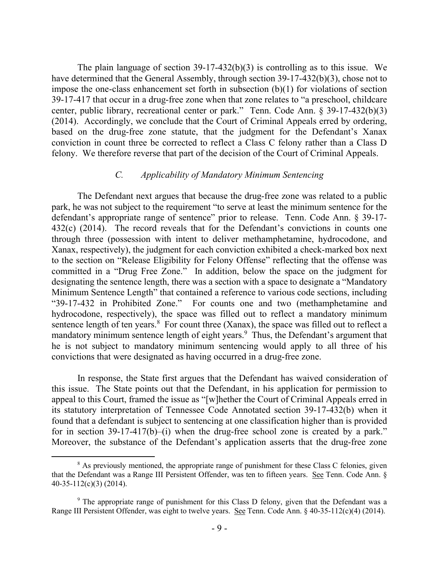The plain language of section 39-17-432(b)(3) is controlling as to this issue. We have determined that the General Assembly, through section 39-17-432(b)(3), chose not to impose the one-class enhancement set forth in subsection (b)(1) for violations of section 39-17-417 that occur in a drug-free zone when that zone relates to "a preschool, childcare center, public library, recreational center or park." Tenn. Code Ann. § 39-17-432(b)(3) (2014). Accordingly, we conclude that the Court of Criminal Appeals erred by ordering, based on the drug-free zone statute, that the judgment for the Defendant's Xanax conviction in count three be corrected to reflect a Class C felony rather than a Class D felony. We therefore reverse that part of the decision of the Court of Criminal Appeals.

#### *C. Applicability of Mandatory Minimum Sentencing*

The Defendant next argues that because the drug-free zone was related to a public park, he was not subject to the requirement "to serve at least the minimum sentence for the defendant's appropriate range of sentence" prior to release. Tenn. Code Ann. § 39-17- 432(c) (2014). The record reveals that for the Defendant's convictions in counts one through three (possession with intent to deliver methamphetamine, hydrocodone, and Xanax, respectively), the judgment for each conviction exhibited a check-marked box next to the section on "Release Eligibility for Felony Offense" reflecting that the offense was committed in a "Drug Free Zone." In addition, below the space on the judgment for designating the sentence length, there was a section with a space to designate a "Mandatory Minimum Sentence Length" that contained a reference to various code sections, including "39-17-432 in Prohibited Zone." For counts one and two (methamphetamine and hydrocodone, respectively), the space was filled out to reflect a mandatory minimum sentence length of ten years. $8 \text{ For count three (Xanax), the space was filled out to reflect a$ mandatory minimum sentence length of eight years.<sup>9</sup> Thus, the Defendant's argument that he is not subject to mandatory minimum sentencing would apply to all three of his convictions that were designated as having occurred in a drug-free zone.

In response, the State first argues that the Defendant has waived consideration of this issue. The State points out that the Defendant, in his application for permission to appeal to this Court, framed the issue as "[w]hether the Court of Criminal Appeals erred in its statutory interpretation of Tennessee Code Annotated section 39-17-432(b) when it found that a defendant is subject to sentencing at one classification higher than is provided for in section 39-17-417(b)–(i) when the drug-free school zone is created by a park." Moreover, the substance of the Defendant's application asserts that the drug-free zone

<sup>&</sup>lt;sup>8</sup> As previously mentioned, the appropriate range of punishment for these Class C felonies, given that the Defendant was a Range III Persistent Offender, was ten to fifteen years. See Tenn. Code Ann. § 40-35-112(c)(3) (2014).

 $9$  The appropriate range of punishment for this Class D felony, given that the Defendant was a Range III Persistent Offender, was eight to twelve years. See Tenn. Code Ann. § 40-35-112(c)(4) (2014).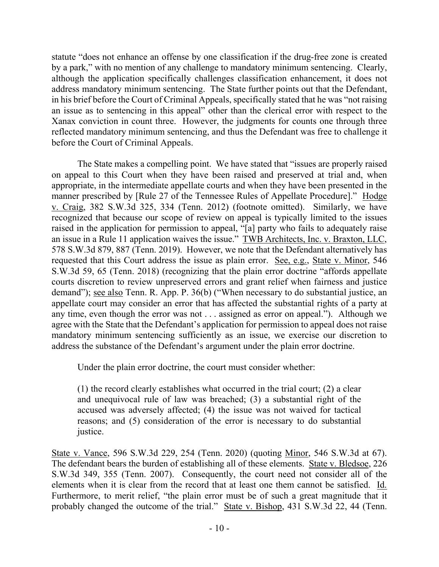statute "does not enhance an offense by one classification if the drug-free zone is created by a park," with no mention of any challenge to mandatory minimum sentencing. Clearly, although the application specifically challenges classification enhancement, it does not address mandatory minimum sentencing. The State further points out that the Defendant, in his brief before the Court of Criminal Appeals, specifically stated that he was "not raising an issue as to sentencing in this appeal" other than the clerical error with respect to the Xanax conviction in count three. However, the judgments for counts one through three reflected mandatory minimum sentencing, and thus the Defendant was free to challenge it before the Court of Criminal Appeals.

The State makes a compelling point. We have stated that "issues are properly raised on appeal to this Court when they have been raised and preserved at trial and, when appropriate, in the intermediate appellate courts and when they have been presented in the manner prescribed by [Rule 27 of the Tennessee Rules of Appellate Procedure]." Hodge v. Craig, 382 S.W.3d 325, 334 (Tenn. 2012) (footnote omitted). Similarly, we have recognized that because our scope of review on appeal is typically limited to the issues raised in the application for permission to appeal, "[a] party who fails to adequately raise an issue in a Rule 11 application waives the issue." TWB Architects, Inc. v. Braxton, LLC, 578 S.W.3d 879, 887 (Tenn. 2019). However, we note that the Defendant alternatively has requested that this Court address the issue as plain error. See, e.g., State v. Minor, 546 S.W.3d 59, 65 (Tenn. 2018) (recognizing that the plain error doctrine "affords appellate courts discretion to review unpreserved errors and grant relief when fairness and justice demand"); see also Tenn. R. App. P. 36(b) ("When necessary to do substantial justice, an appellate court may consider an error that has affected the substantial rights of a party at any time, even though the error was not . . . assigned as error on appeal."). Although we agree with the State that the Defendant's application for permission to appeal does not raise mandatory minimum sentencing sufficiently as an issue, we exercise our discretion to address the substance of the Defendant's argument under the plain error doctrine.

Under the plain error doctrine, the court must consider whether:

(1) the record clearly establishes what occurred in the trial court; (2) a clear and unequivocal rule of law was breached; (3) a substantial right of the accused was adversely affected; (4) the issue was not waived for tactical reasons; and (5) consideration of the error is necessary to do substantial justice.

State v. Vance, 596 S.W.3d 229, 254 (Tenn. 2020) (quoting Minor, 546 S.W.3d at 67). The defendant bears the burden of establishing all of these elements. State v. Bledsoe, 226 S.W.3d 349, 355 (Tenn. 2007). Consequently, the court need not consider all of the elements when it is clear from the record that at least one them cannot be satisfied. Id. Furthermore, to merit relief, "the plain error must be of such a great magnitude that it probably changed the outcome of the trial." State v. Bishop, 431 S.W.3d 22, 44 (Tenn.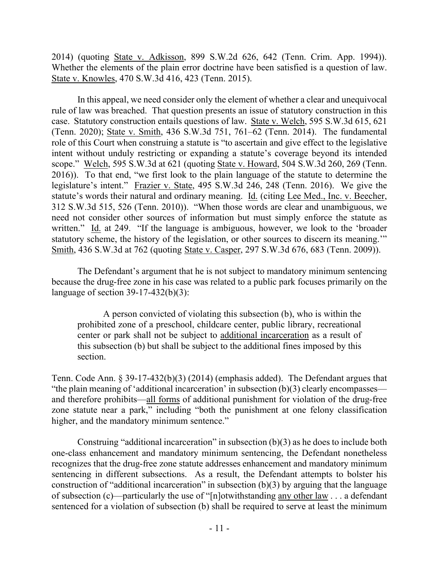2014) (quoting State v. Adkisson, 899 S.W.2d 626, 642 (Tenn. Crim. App. 1994)). Whether the elements of the plain error doctrine have been satisfied is a question of law. State v. Knowles, 470 S.W.3d 416, 423 (Tenn. 2015).

In this appeal, we need consider only the element of whether a clear and unequivocal rule of law was breached. That question presents an issue of statutory construction in this case. Statutory construction entails questions of law. State v. Welch, 595 S.W.3d 615, 621 (Tenn. 2020); State v. Smith, 436 S.W.3d 751, 761–62 (Tenn. 2014). The fundamental role of this Court when construing a statute is "to ascertain and give effect to the legislative intent without unduly restricting or expanding a statute's coverage beyond its intended scope." Welch, 595 S.W.3d at 621 (quoting State v. Howard, 504 S.W.3d 260, 269 (Tenn. 2016)). To that end, "we first look to the plain language of the statute to determine the legislature's intent." Frazier v. State, 495 S.W.3d 246, 248 (Tenn. 2016). We give the statute's words their natural and ordinary meaning. Id. (citing Lee Med., Inc. v. Beecher, 312 S.W.3d 515, 526 (Tenn. 2010)). "When those words are clear and unambiguous, we need not consider other sources of information but must simply enforce the statute as written." Id. at 249. "If the language is ambiguous, however, we look to the 'broader' statutory scheme, the history of the legislation, or other sources to discern its meaning.'" Smith, 436 S.W.3d at 762 (quoting State v. Casper, 297 S.W.3d 676, 683 (Tenn. 2009)).

The Defendant's argument that he is not subject to mandatory minimum sentencing because the drug-free zone in his case was related to a public park focuses primarily on the language of section 39-17-432(b)(3):

A person convicted of violating this subsection (b), who is within the prohibited zone of a preschool, childcare center, public library, recreational center or park shall not be subject to additional incarceration as a result of this subsection (b) but shall be subject to the additional fines imposed by this section.

Tenn. Code Ann. § 39-17-432(b)(3) (2014) (emphasis added). The Defendant argues that "the plain meaning of 'additional incarceration' in subsection (b)(3) clearly encompasses and therefore prohibits—all forms of additional punishment for violation of the drug-free zone statute near a park," including "both the punishment at one felony classification higher, and the mandatory minimum sentence."

Construing "additional incarceration" in subsection  $(b)(3)$  as he does to include both one-class enhancement and mandatory minimum sentencing, the Defendant nonetheless recognizes that the drug-free zone statute addresses enhancement and mandatory minimum sentencing in different subsections. As a result, the Defendant attempts to bolster his construction of "additional incarceration" in subsection  $(b)(3)$  by arguing that the language of subsection (c)—particularly the use of "[n]otwithstanding any other law . . . a defendant sentenced for a violation of subsection (b) shall be required to serve at least the minimum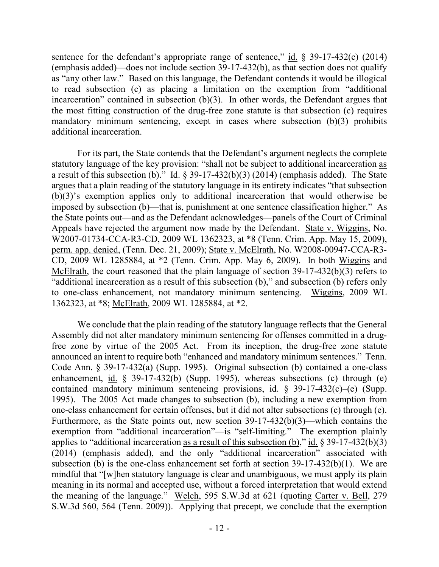sentence for the defendant's appropriate range of sentence,"  $\underline{\text{id}}$ . § 39-17-432(c) (2014) (emphasis added)—does not include section 39-17-432(b), as that section does not qualify as "any other law." Based on this language, the Defendant contends it would be illogical to read subsection (c) as placing a limitation on the exemption from "additional incarceration" contained in subsection (b)(3). In other words, the Defendant argues that the most fitting construction of the drug-free zone statute is that subsection (c) requires mandatory minimum sentencing, except in cases where subsection (b)(3) prohibits additional incarceration.

For its part, the State contends that the Defendant's argument neglects the complete statutory language of the key provision: "shall not be subject to additional incarceration as a result of this subsection (b)." Id. § 39-17-432(b)(3) (2014) (emphasis added). The State argues that a plain reading of the statutory language in its entirety indicates "that subsection (b)(3)'s exemption applies only to additional incarceration that would otherwise be imposed by subsection (b)—that is, punishment at one sentence classification higher." As the State points out—and as the Defendant acknowledges—panels of the Court of Criminal Appeals have rejected the argument now made by the Defendant. State v. Wiggins, No. W2007-01734-CCA-R3-CD, 2009 WL 1362323, at \*8 (Tenn. Crim. App. May 15, 2009), perm. app. denied, (Tenn. Dec. 21, 2009); State v. McElrath, No. W2008-00947-CCA-R3- CD, 2009 WL 1285884, at \*2 (Tenn. Crim. App. May 6, 2009). In both Wiggins and McElrath, the court reasoned that the plain language of section 39-17-432(b)(3) refers to "additional incarceration as a result of this subsection (b)," and subsection (b) refers only to one-class enhancement, not mandatory minimum sentencing. Wiggins, 2009 WL 1362323, at \*8; McElrath, 2009 WL 1285884, at \*2.

We conclude that the plain reading of the statutory language reflects that the General Assembly did not alter mandatory minimum sentencing for offenses committed in a drugfree zone by virtue of the 2005 Act. From its inception, the drug-free zone statute announced an intent to require both "enhanced and mandatory minimum sentences." Tenn. Code Ann. § 39-17-432(a) (Supp. 1995). Original subsection (b) contained a one-class enhancement, id. § 39-17-432(b) (Supp. 1995), whereas subsections (c) through (e) contained mandatory minimum sentencing provisions, id.  $\S$  39-17-432(c)–(e) (Supp. 1995). The 2005 Act made changes to subsection (b), including a new exemption from one-class enhancement for certain offenses, but it did not alter subsections (c) through (e). Furthermore, as the State points out, new section 39-17-432(b)(3)—which contains the exemption from "additional incarceration"—is "self-limiting." The exemption plainly applies to "additional incarceration as a result of this subsection (b)," id.  $\S 39-17-432(b)(3)$ (2014) (emphasis added), and the only "additional incarceration" associated with subsection (b) is the one-class enhancement set forth at section 39-17-432(b)(1). We are mindful that "[w]hen statutory language is clear and unambiguous, we must apply its plain meaning in its normal and accepted use, without a forced interpretation that would extend the meaning of the language." Welch, 595 S.W.3d at 621 (quoting Carter v. Bell, 279 S.W.3d 560, 564 (Tenn. 2009)). Applying that precept, we conclude that the exemption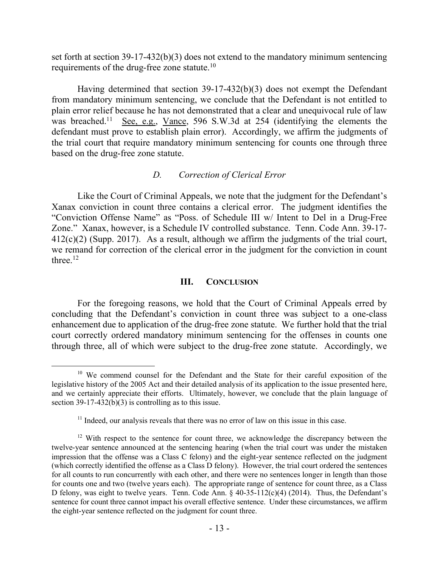set forth at section 39-17-432(b)(3) does not extend to the mandatory minimum sentencing requirements of the drug-free zone statute.<sup>10</sup>

Having determined that section 39-17-432(b)(3) does not exempt the Defendant from mandatory minimum sentencing, we conclude that the Defendant is not entitled to plain error relief because he has not demonstrated that a clear and unequivocal rule of law was breached.<sup>11</sup> See, e.g., Vance, 596 S.W.3d at 254 (identifying the elements the defendant must prove to establish plain error). Accordingly, we affirm the judgments of the trial court that require mandatory minimum sentencing for counts one through three based on the drug-free zone statute.

# *D. Correction of Clerical Error*

Like the Court of Criminal Appeals, we note that the judgment for the Defendant's Xanax conviction in count three contains a clerical error. The judgment identifies the "Conviction Offense Name" as "Poss. of Schedule III w/ Intent to Del in a Drug-Free Zone." Xanax, however, is a Schedule IV controlled substance. Tenn. Code Ann. 39-17- 412(c)(2) (Supp. 2017). As a result, although we affirm the judgments of the trial court, we remand for correction of the clerical error in the judgment for the conviction in count three. $12$ 

### **III. CONCLUSION**

For the foregoing reasons, we hold that the Court of Criminal Appeals erred by concluding that the Defendant's conviction in count three was subject to a one-class enhancement due to application of the drug-free zone statute. We further hold that the trial court correctly ordered mandatory minimum sentencing for the offenses in counts one through three, all of which were subject to the drug-free zone statute. Accordingly, we

<sup>&</sup>lt;sup>10</sup> We commend counsel for the Defendant and the State for their careful exposition of the legislative history of the 2005 Act and their detailed analysis of its application to the issue presented here, and we certainly appreciate their efforts. Ultimately, however, we conclude that the plain language of section  $39-17-432(b)(3)$  is controlling as to this issue.

 $11$  Indeed, our analysis reveals that there was no error of law on this issue in this case.

 $12$  With respect to the sentence for count three, we acknowledge the discrepancy between the twelve-year sentence announced at the sentencing hearing (when the trial court was under the mistaken impression that the offense was a Class C felony) and the eight-year sentence reflected on the judgment (which correctly identified the offense as a Class D felony). However, the trial court ordered the sentences for all counts to run concurrently with each other, and there were no sentences longer in length than those for counts one and two (twelve years each). The appropriate range of sentence for count three, as a Class D felony, was eight to twelve years. Tenn. Code Ann. § 40-35-112(c)(4) (2014). Thus, the Defendant's sentence for count three cannot impact his overall effective sentence. Under these circumstances, we affirm the eight-year sentence reflected on the judgment for count three.